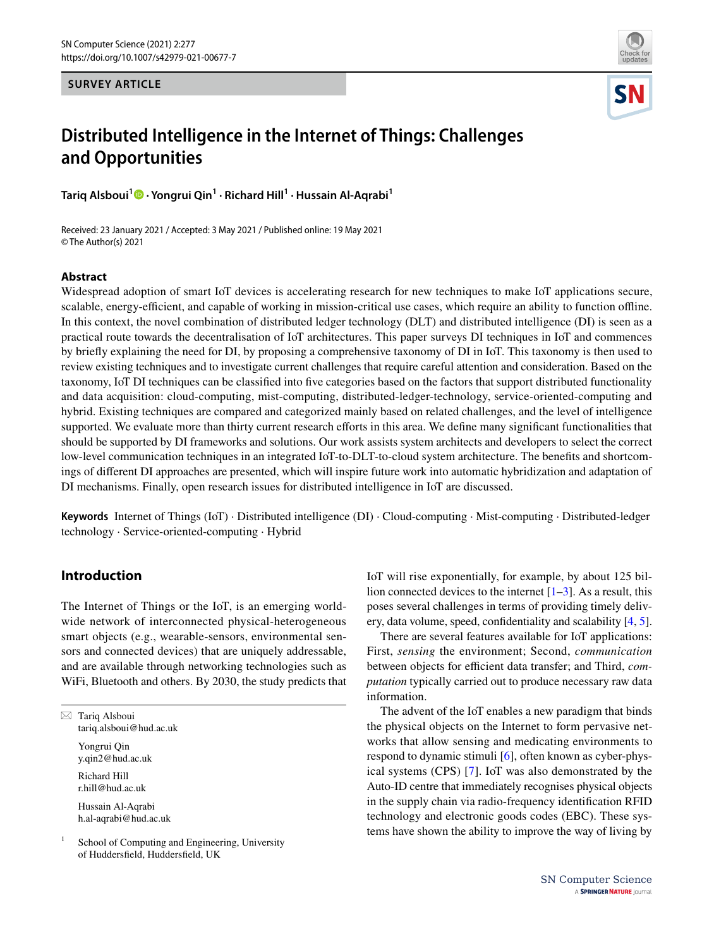**SURVEY ARTICLE**



# **Distributed Intelligence in the Internet of Things: Challenges and Opportunities**

**Tariq Alsboui1 · Yongrui Qin1 · Richard Hill1 · Hussain Al‑Aqrabi1**

Received: 23 January 2021 / Accepted: 3 May 2021 / Published online: 19 May 2021 © The Author(s) 2021

## **Abstract**

Widespread adoption of smart IoT devices is accelerating research for new techniques to make IoT applications secure, scalable, energy-efficient, and capable of working in mission-critical use cases, which require an ability to function offline. In this context, the novel combination of distributed ledger technology (DLT) and distributed intelligence (DI) is seen as a practical route towards the decentralisation of IoT architectures. This paper surveys DI techniques in IoT and commences by briefy explaining the need for DI, by proposing a comprehensive taxonomy of DI in IoT. This taxonomy is then used to review existing techniques and to investigate current challenges that require careful attention and consideration. Based on the taxonomy, IoT DI techniques can be classifed into fve categories based on the factors that support distributed functionality and data acquisition: cloud-computing, mist-computing, distributed-ledger-technology, service-oriented-computing and hybrid. Existing techniques are compared and categorized mainly based on related challenges, and the level of intelligence supported. We evaluate more than thirty current research efforts in this area. We define many significant functionalities that should be supported by DI frameworks and solutions. Our work assists system architects and developers to select the correct low-level communication techniques in an integrated IoT-to-DLT-to-cloud system architecture. The benefts and shortcomings of diferent DI approaches are presented, which will inspire future work into automatic hybridization and adaptation of DI mechanisms. Finally, open research issues for distributed intelligence in IoT are discussed.

**Keywords** Internet of Things (IoT) · Distributed intelligence (DI) · Cloud-computing · Mist-computing · Distributed-ledger technology · Service-oriented-computing · Hybrid

# **Introduction**

The Internet of Things or the IoT, is an emerging worldwide network of interconnected physical-heterogeneous smart objects (e.g., wearable-sensors, environmental sensors and connected devices) that are uniquely addressable, and are available through networking technologies such as WiFi, Bluetooth and others. By 2030, the study predicts that

 $\boxtimes$  Tariq Alsboui tariq.alsboui@hud.ac.uk Yongrui Qin y.qin2@hud.ac.uk Richard Hill r.hill@hud.ac.uk Hussain Al-Aqrabi h.al-aqrabi@hud.ac.uk

 $1$  School of Computing and Engineering, University of Huddersfeld, Huddersfeld, UK

IoT will rise exponentially, for example, by about 125 billion connected devices to the internet  $[1-3]$  $[1-3]$ . As a result, this poses several challenges in terms of providing timely delivery, data volume, speed, confdentiality and scalability [[4,](#page-13-2) [5](#page-13-3)].

There are several features available for IoT applications: First, *sensing* the environment; Second, *communication* between objects for efficient data transfer; and Third, *computation* typically carried out to produce necessary raw data information.

The advent of the IoT enables a new paradigm that binds the physical objects on the Internet to form pervasive networks that allow sensing and medicating environments to respond to dynamic stimuli [[6\]](#page-13-4), often known as cyber-physical systems (CPS) [[7](#page-13-5)]. IoT was also demonstrated by the Auto-ID centre that immediately recognises physical objects in the supply chain via radio-frequency identifcation RFID technology and electronic goods codes (EBC). These systems have shown the ability to improve the way of living by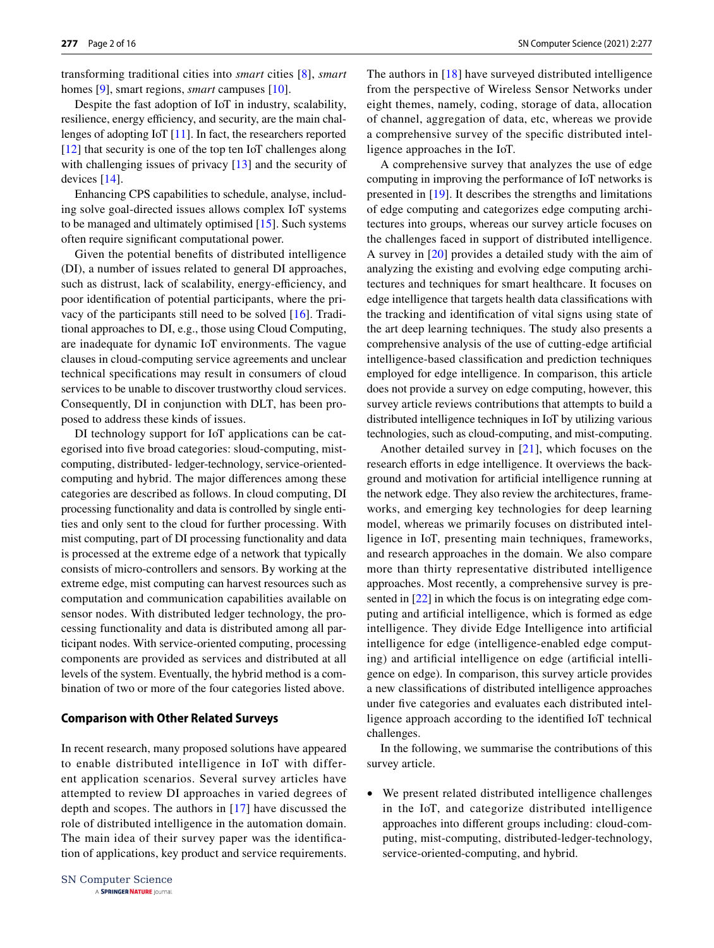transforming traditional cities into *smart* cities [\[8\]](#page-13-6), *smart* homes [\[9](#page-13-7)], smart regions, *smart* campuses [\[10](#page-13-8)].

Despite the fast adoption of IoT in industry, scalability, resilience, energy efficiency, and security, are the main challenges of adopting IoT [[11\]](#page-13-9). In fact, the researchers reported [\[12\]](#page-13-10) that security is one of the top ten IoT challenges along with challenging issues of privacy [[13\]](#page-13-11) and the security of devices [[14](#page-13-12)].

Enhancing CPS capabilities to schedule, analyse, including solve goal-directed issues allows complex IoT systems to be managed and ultimately optimised [[15\]](#page-13-13). Such systems often require signifcant computational power.

Given the potential benefts of distributed intelligence (DI), a number of issues related to general DI approaches, such as distrust, lack of scalability, energy-efficiency, and poor identifcation of potential participants, where the privacy of the participants still need to be solved [[16](#page-13-14)]. Traditional approaches to DI, e.g., those using Cloud Computing, are inadequate for dynamic IoT environments. The vague clauses in cloud-computing service agreements and unclear technical specifcations may result in consumers of cloud services to be unable to discover trustworthy cloud services. Consequently, DI in conjunction with DLT, has been proposed to address these kinds of issues.

DI technology support for IoT applications can be categorised into fve broad categories: sloud-computing, mistcomputing, distributed- ledger-technology, service-orientedcomputing and hybrid. The major diferences among these categories are described as follows. In cloud computing, DI processing functionality and data is controlled by single entities and only sent to the cloud for further processing. With mist computing, part of DI processing functionality and data is processed at the extreme edge of a network that typically consists of micro-controllers and sensors. By working at the extreme edge, mist computing can harvest resources such as computation and communication capabilities available on sensor nodes. With distributed ledger technology, the processing functionality and data is distributed among all participant nodes. With service-oriented computing, processing components are provided as services and distributed at all levels of the system. Eventually, the hybrid method is a combination of two or more of the four categories listed above.

#### **Comparison with Other Related Surveys**

In recent research, many proposed solutions have appeared to enable distributed intelligence in IoT with different application scenarios. Several survey articles have attempted to review DI approaches in varied degrees of depth and scopes. The authors in [[17](#page-13-15)] have discussed the role of distributed intelligence in the automation domain. The main idea of their survey paper was the identifcation of applications, key product and service requirements. The authors in [[18](#page-14-0)] have surveyed distributed intelligence from the perspective of Wireless Sensor Networks under eight themes, namely, coding, storage of data, allocation of channel, aggregation of data, etc, whereas we provide a comprehensive survey of the specifc distributed intelligence approaches in the IoT.

A comprehensive survey that analyzes the use of edge computing in improving the performance of IoT networks is presented in [\[19\]](#page-14-1). It describes the strengths and limitations of edge computing and categorizes edge computing architectures into groups, whereas our survey article focuses on the challenges faced in support of distributed intelligence. A survey in [\[20](#page-14-2)] provides a detailed study with the aim of analyzing the existing and evolving edge computing architectures and techniques for smart healthcare. It focuses on edge intelligence that targets health data classifcations with the tracking and identifcation of vital signs using state of the art deep learning techniques. The study also presents a comprehensive analysis of the use of cutting-edge artifcial intelligence-based classifcation and prediction techniques employed for edge intelligence. In comparison, this article does not provide a survey on edge computing, however, this survey article reviews contributions that attempts to build a distributed intelligence techniques in IoT by utilizing various technologies, such as cloud-computing, and mist-computing.

Another detailed survey in [[21](#page-14-3)], which focuses on the research efforts in edge intelligence. It overviews the background and motivation for artifcial intelligence running at the network edge. They also review the architectures, frameworks, and emerging key technologies for deep learning model, whereas we primarily focuses on distributed intelligence in IoT, presenting main techniques, frameworks, and research approaches in the domain. We also compare more than thirty representative distributed intelligence approaches. Most recently, a comprehensive survey is presented in [\[22\]](#page-14-4) in which the focus is on integrating edge computing and artifcial intelligence, which is formed as edge intelligence. They divide Edge Intelligence into artifcial intelligence for edge (intelligence-enabled edge computing) and artifcial intelligence on edge (artifcial intelligence on edge). In comparison, this survey article provides a new classifcations of distributed intelligence approaches under fve categories and evaluates each distributed intelligence approach according to the identifed IoT technical challenges.

In the following, we summarise the contributions of this survey article.

• We present related distributed intelligence challenges in the IoT, and categorize distributed intelligence approaches into diferent groups including: cloud-computing, mist-computing, distributed-ledger-technology, service-oriented-computing, and hybrid.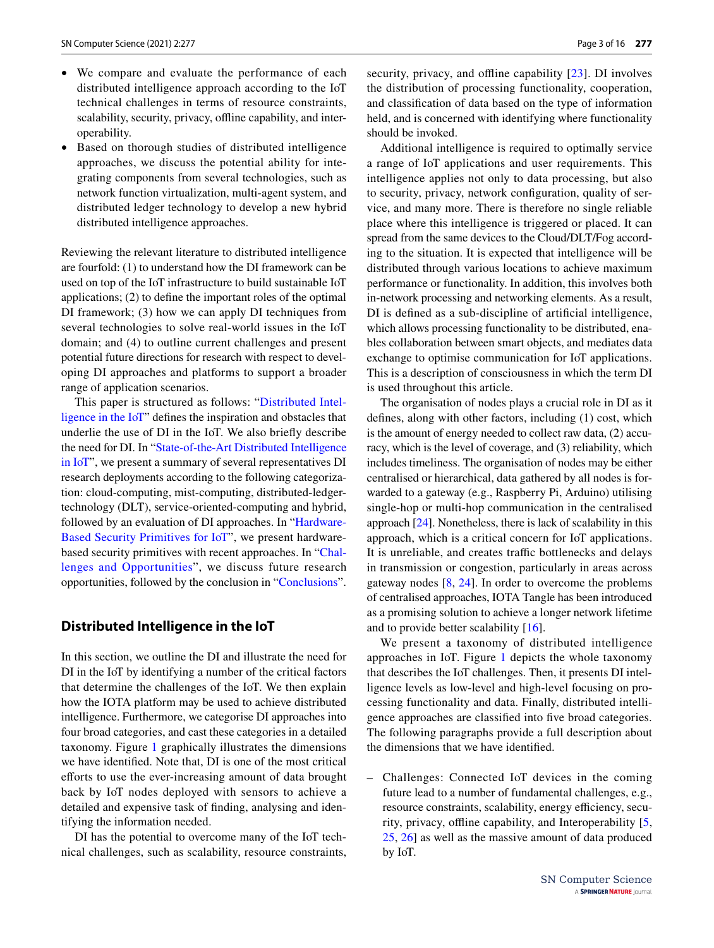- We compare and evaluate the performance of each distributed intelligence approach according to the IoT technical challenges in terms of resource constraints, scalability, security, privacy, offline capability, and interoperability.
- Based on thorough studies of distributed intelligence approaches, we discuss the potential ability for integrating components from several technologies, such as network function virtualization, multi-agent system, and distributed ledger technology to develop a new hybrid distributed intelligence approaches.

Reviewing the relevant literature to distributed intelligence are fourfold: (1) to understand how the DI framework can be used on top of the IoT infrastructure to build sustainable IoT applications; (2) to defne the important roles of the optimal DI framework; (3) how we can apply DI techniques from several technologies to solve real-world issues in the IoT domain; and (4) to outline current challenges and present potential future directions for research with respect to developing DI approaches and platforms to support a broader range of application scenarios.

This paper is structured as follows: "[Distributed Intel](#page-2-0)[ligence in the IoT"](#page-2-0) defnes the inspiration and obstacles that underlie the use of DI in the IoT. We also briefy describe the need for DI. In ["State-of-the-Art Distributed Intelligence](#page-5-0) [in IoT"](#page-5-0), we present a summary of several representatives DI research deployments according to the following categorization: cloud-computing, mist-computing, distributed-ledgertechnology (DLT), service-oriented-computing and hybrid, followed by an evaluation of DI approaches. In ["Hardware-](#page-11-0)[Based Security Primitives for IoT](#page-11-0)", we present hardwarebased security primitives with recent approaches. In "[Chal](#page-12-0)[lenges and Opportunities](#page-12-0)", we discuss future research opportunities, followed by the conclusion in "[Conclusions"](#page-13-16).

## <span id="page-2-0"></span>**Distributed Intelligence in the IoT**

In this section, we outline the DI and illustrate the need for DI in the IoT by identifying a number of the critical factors that determine the challenges of the IoT. We then explain how the IOTA platform may be used to achieve distributed intelligence. Furthermore, we categorise DI approaches into four broad categories, and cast these categories in a detailed taxonomy. Figure [1](#page-3-0) graphically illustrates the dimensions we have identifed. Note that, DI is one of the most critical eforts to use the ever-increasing amount of data brought back by IoT nodes deployed with sensors to achieve a detailed and expensive task of fnding, analysing and identifying the information needed.

DI has the potential to overcome many of the IoT technical challenges, such as scalability, resource constraints, security, privacy, and offline capability [[23\]](#page-14-5). DI involves the distribution of processing functionality, cooperation, and classifcation of data based on the type of information held, and is concerned with identifying where functionality should be invoked.

Additional intelligence is required to optimally service a range of IoT applications and user requirements. This intelligence applies not only to data processing, but also to security, privacy, network confguration, quality of service, and many more. There is therefore no single reliable place where this intelligence is triggered or placed. It can spread from the same devices to the Cloud/DLT/Fog according to the situation. It is expected that intelligence will be distributed through various locations to achieve maximum performance or functionality. In addition, this involves both in-network processing and networking elements. As a result, DI is defned as a sub-discipline of artifcial intelligence, which allows processing functionality to be distributed, enables collaboration between smart objects, and mediates data exchange to optimise communication for IoT applications. This is a description of consciousness in which the term DI is used throughout this article.

The organisation of nodes plays a crucial role in DI as it defnes, along with other factors, including (1) cost, which is the amount of energy needed to collect raw data, (2) accuracy, which is the level of coverage, and (3) reliability, which includes timeliness. The organisation of nodes may be either centralised or hierarchical, data gathered by all nodes is forwarded to a gateway (e.g., Raspberry Pi, Arduino) utilising single-hop or multi-hop communication in the centralised approach [[24](#page-14-6)]. Nonetheless, there is lack of scalability in this approach, which is a critical concern for IoT applications. It is unreliable, and creates traffic bottlenecks and delays in transmission or congestion, particularly in areas across gateway nodes [\[8](#page-13-6), [24\]](#page-14-6). In order to overcome the problems of centralised approaches, IOTA Tangle has been introduced as a promising solution to achieve a longer network lifetime and to provide better scalability [\[16](#page-13-14)].

We present a taxonomy of distributed intelligence approaches in IoT. Figure [1](#page-3-0) depicts the whole taxonomy that describes the IoT challenges. Then, it presents DI intelligence levels as low-level and high-level focusing on processing functionality and data. Finally, distributed intelligence approaches are classifed into fve broad categories. The following paragraphs provide a full description about the dimensions that we have identifed.

– Challenges: Connected IoT devices in the coming future lead to a number of fundamental challenges, e.g., resource constraints, scalability, energy efficiency, secu-rity, privacy, offline capability, and Interoperability [[5,](#page-13-3) [25](#page-14-7), [26\]](#page-14-8) as well as the massive amount of data produced by IoT.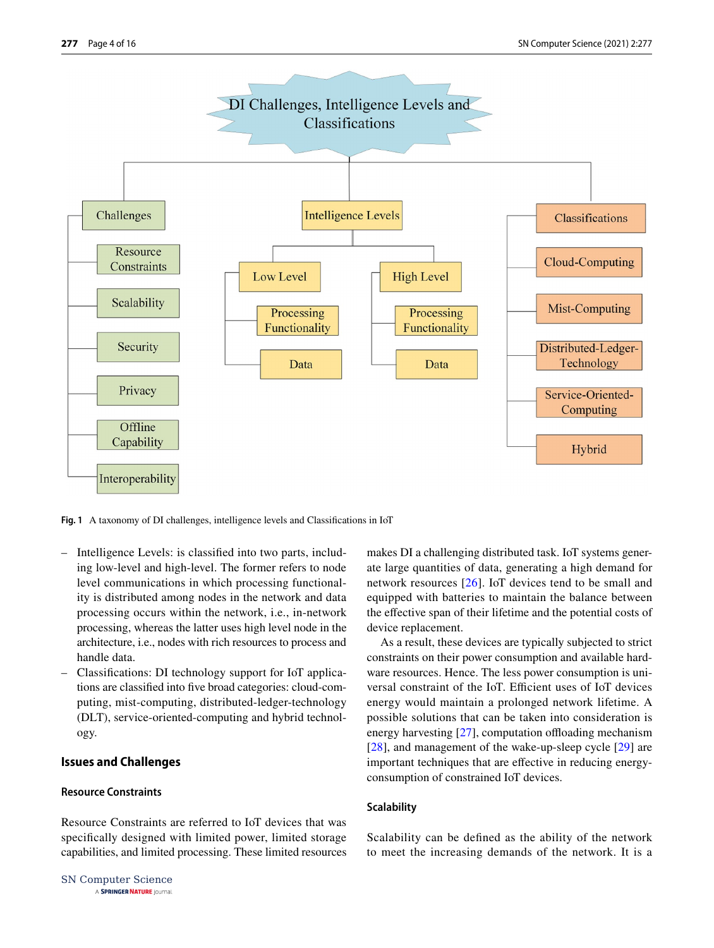

<span id="page-3-0"></span>**Fig. 1** A taxonomy of DI challenges, intelligence levels and Classifcations in IoT

- Intelligence Levels: is classifed into two parts, including low-level and high-level. The former refers to node level communications in which processing functionality is distributed among nodes in the network and data processing occurs within the network, i.e., in-network processing, whereas the latter uses high level node in the architecture, i.e., nodes with rich resources to process and handle data.
- Classifcations: DI technology support for IoT applications are classifed into fve broad categories: cloud-computing, mist-computing, distributed-ledger-technology (DLT), service-oriented-computing and hybrid technology.

## **Issues and Challenges**

## **Resource Constraints**

Resource Constraints are referred to IoT devices that was specifcally designed with limited power, limited storage capabilities, and limited processing. These limited resources

SN Computer Science A SPRINGER NATURE journal

makes DI a challenging distributed task. IoT systems generate large quantities of data, generating a high demand for network resources [\[26\]](#page-14-8). IoT devices tend to be small and equipped with batteries to maintain the balance between the efective span of their lifetime and the potential costs of device replacement.

As a result, these devices are typically subjected to strict constraints on their power consumption and available hardware resources. Hence. The less power consumption is universal constraint of the IoT. Efficient uses of IoT devices energy would maintain a prolonged network lifetime. A possible solutions that can be taken into consideration is energy harvesting  $[27]$  $[27]$ , computation offloading mechanism [[28\]](#page-14-10), and management of the wake-up-sleep cycle [[29\]](#page-14-11) are important techniques that are efective in reducing energyconsumption of constrained IoT devices.

## **Scalability**

Scalability can be defned as the ability of the network to meet the increasing demands of the network. It is a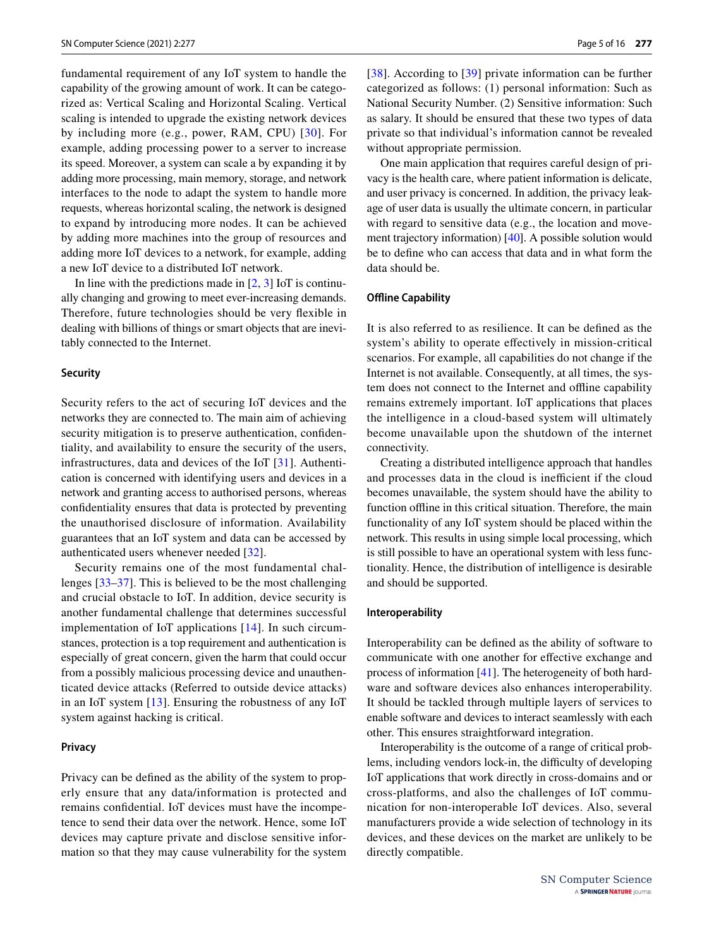fundamental requirement of any IoT system to handle the capability of the growing amount of work. It can be categorized as: Vertical Scaling and Horizontal Scaling. Vertical scaling is intended to upgrade the existing network devices by including more (e.g., power, RAM, CPU) [[30\]](#page-14-12). For example, adding processing power to a server to increase its speed. Moreover, a system can scale a by expanding it by adding more processing, main memory, storage, and network interfaces to the node to adapt the system to handle more requests, whereas horizontal scaling, the network is designed to expand by introducing more nodes. It can be achieved by adding more machines into the group of resources and adding more IoT devices to a network, for example, adding a new IoT device to a distributed IoT network.

In line with the predictions made in  $[2, 3]$  $[2, 3]$  $[2, 3]$  $[2, 3]$  IoT is continually changing and growing to meet ever-increasing demands. Therefore, future technologies should be very fexible in dealing with billions of things or smart objects that are inevitably connected to the Internet.

### **Security**

Security refers to the act of securing IoT devices and the networks they are connected to. The main aim of achieving security mitigation is to preserve authentication, confidentiality, and availability to ensure the security of the users, infrastructures, data and devices of the IoT [[31\]](#page-14-13). Authentication is concerned with identifying users and devices in a network and granting access to authorised persons, whereas confdentiality ensures that data is protected by preventing the unauthorised disclosure of information. Availability guarantees that an IoT system and data can be accessed by authenticated users whenever needed [\[32\]](#page-14-14).

Security remains one of the most fundamental challenges [[33–](#page-14-15)[37\]](#page-14-16). This is believed to be the most challenging and crucial obstacle to IoT. In addition, device security is another fundamental challenge that determines successful implementation of IoT applications [\[14\]](#page-13-12). In such circumstances, protection is a top requirement and authentication is especially of great concern, given the harm that could occur from a possibly malicious processing device and unauthenticated device attacks (Referred to outside device attacks) in an IoT system [[13\]](#page-13-11). Ensuring the robustness of any IoT system against hacking is critical.

## **Privacy**

Privacy can be defned as the ability of the system to properly ensure that any data/information is protected and remains confdential. IoT devices must have the incompetence to send their data over the network. Hence, some IoT devices may capture private and disclose sensitive information so that they may cause vulnerability for the system [[38\]](#page-14-17). According to [\[39\]](#page-14-18) private information can be further categorized as follows: (1) personal information: Such as National Security Number. (2) Sensitive information: Such as salary. It should be ensured that these two types of data private so that individual's information cannot be revealed without appropriate permission.

One main application that requires careful design of privacy is the health care, where patient information is delicate, and user privacy is concerned. In addition, the privacy leakage of user data is usually the ultimate concern, in particular with regard to sensitive data (e.g., the location and movement trajectory information) [[40\]](#page-14-19). A possible solution would be to defne who can access that data and in what form the data should be.

### **Offline Capability**

It is also referred to as resilience. It can be defned as the system's ability to operate efectively in mission-critical scenarios. For example, all capabilities do not change if the Internet is not available. Consequently, at all times, the system does not connect to the Internet and ofine capability remains extremely important. IoT applications that places the intelligence in a cloud-based system will ultimately become unavailable upon the shutdown of the internet connectivity.

Creating a distributed intelligence approach that handles and processes data in the cloud is inefficient if the cloud becomes unavailable, the system should have the ability to function offline in this critical situation. Therefore, the main functionality of any IoT system should be placed within the network. This results in using simple local processing, which is still possible to have an operational system with less functionality. Hence, the distribution of intelligence is desirable and should be supported.

#### **Interoperability**

Interoperability can be defned as the ability of software to communicate with one another for efective exchange and process of information [\[41](#page-14-20)]. The heterogeneity of both hardware and software devices also enhances interoperability. It should be tackled through multiple layers of services to enable software and devices to interact seamlessly with each other. This ensures straightforward integration.

Interoperability is the outcome of a range of critical problems, including vendors lock-in, the difficulty of developing IoT applications that work directly in cross-domains and or cross-platforms, and also the challenges of IoT communication for non-interoperable IoT devices. Also, several manufacturers provide a wide selection of technology in its devices, and these devices on the market are unlikely to be directly compatible.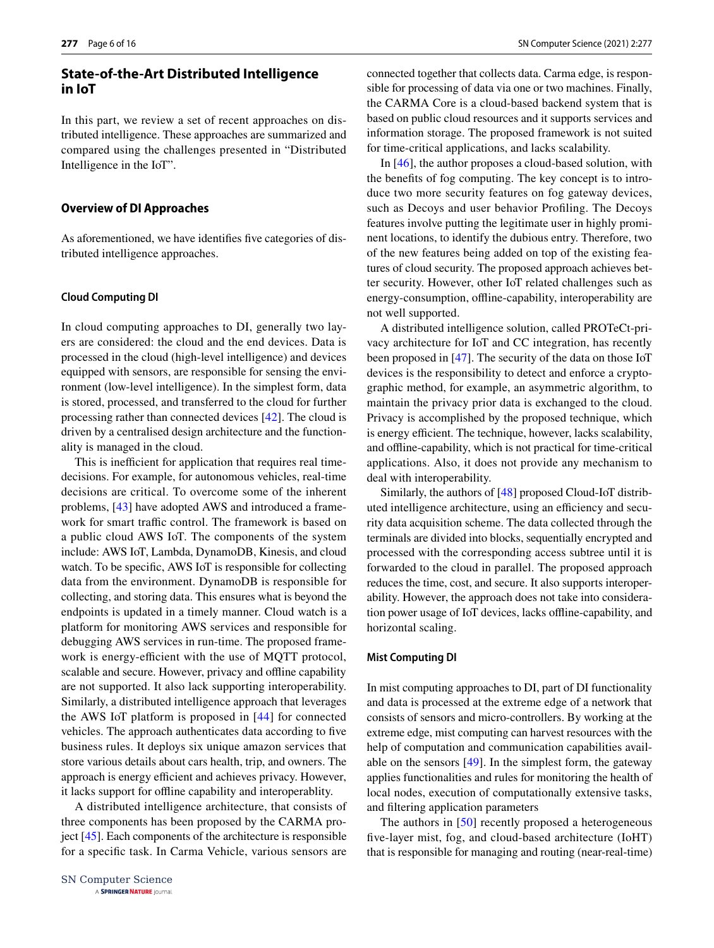# <span id="page-5-0"></span>**State‑of‑the‑Art Distributed Intelligence in IoT**

In this part, we review a set of recent approaches on distributed intelligence. These approaches are summarized and compared using the challenges presented in "Distributed Intelligence in the IoT".

#### **Overview of DI Approaches**

As aforementioned, we have identifes fve categories of distributed intelligence approaches.

#### **Cloud Computing DI**

In cloud computing approaches to DI, generally two layers are considered: the cloud and the end devices. Data is processed in the cloud (high-level intelligence) and devices equipped with sensors, are responsible for sensing the environment (low-level intelligence). In the simplest form, data is stored, processed, and transferred to the cloud for further processing rather than connected devices [\[42](#page-14-21)]. The cloud is driven by a centralised design architecture and the functionality is managed in the cloud.

This is inefficient for application that requires real timedecisions. For example, for autonomous vehicles, real-time decisions are critical. To overcome some of the inherent problems, [[43](#page-14-22)] have adopted AWS and introduced a framework for smart traffic control. The framework is based on a public cloud AWS IoT. The components of the system include: AWS IoT, Lambda, DynamoDB, Kinesis, and cloud watch. To be specifc, AWS IoT is responsible for collecting data from the environment. DynamoDB is responsible for collecting, and storing data. This ensures what is beyond the endpoints is updated in a timely manner. Cloud watch is a platform for monitoring AWS services and responsible for debugging AWS services in run-time. The proposed framework is energy-efficient with the use of MQTT protocol, scalable and secure. However, privacy and offline capability are not supported. It also lack supporting interoperability. Similarly, a distributed intelligence approach that leverages the AWS IoT platform is proposed in [[44](#page-14-23)] for connected vehicles. The approach authenticates data according to fve business rules. It deploys six unique amazon services that store various details about cars health, trip, and owners. The approach is energy efficient and achieves privacy. However, it lacks support for ofine capability and interoperablity.

A distributed intelligence architecture, that consists of three components has been proposed by the CARMA project [[45\]](#page-14-24). Each components of the architecture is responsible for a specifc task. In Carma Vehicle, various sensors are connected together that collects data. Carma edge, is responsible for processing of data via one or two machines. Finally, the CARMA Core is a cloud-based backend system that is based on public cloud resources and it supports services and information storage. The proposed framework is not suited for time-critical applications, and lacks scalability.

In [[46\]](#page-14-25), the author proposes a cloud-based solution, with the benefts of fog computing. The key concept is to introduce two more security features on fog gateway devices, such as Decoys and user behavior Profling. The Decoys features involve putting the legitimate user in highly prominent locations, to identify the dubious entry. Therefore, two of the new features being added on top of the existing features of cloud security. The proposed approach achieves better security. However, other IoT related challenges such as energy-consumption, offline-capability, interoperability are not well supported.

A distributed intelligence solution, called PROTeCt-privacy architecture for IoT and CC integration, has recently been proposed in [[47\]](#page-14-26). The security of the data on those IoT devices is the responsibility to detect and enforce a cryptographic method, for example, an asymmetric algorithm, to maintain the privacy prior data is exchanged to the cloud. Privacy is accomplished by the proposed technique, which is energy efficient. The technique, however, lacks scalability, and ofine-capability, which is not practical for time-critical applications. Also, it does not provide any mechanism to deal with interoperability.

Similarly, the authors of [\[48](#page-14-27)] proposed Cloud-IoT distributed intelligence architecture, using an efficiency and security data acquisition scheme. The data collected through the terminals are divided into blocks, sequentially encrypted and processed with the corresponding access subtree until it is forwarded to the cloud in parallel. The proposed approach reduces the time, cost, and secure. It also supports interoperability. However, the approach does not take into consideration power usage of IoT devices, lacks ofine-capability, and horizontal scaling.

#### **Mist Computing DI**

In mist computing approaches to DI, part of DI functionality and data is processed at the extreme edge of a network that consists of sensors and micro-controllers. By working at the extreme edge, mist computing can harvest resources with the help of computation and communication capabilities available on the sensors [[49\]](#page-14-28). In the simplest form, the gateway applies functionalities and rules for monitoring the health of local nodes, execution of computationally extensive tasks, and fltering application parameters

The authors in [\[50\]](#page-14-29) recently proposed a heterogeneous fve-layer mist, fog, and cloud-based architecture (IoHT) that is responsible for managing and routing (near-real-time)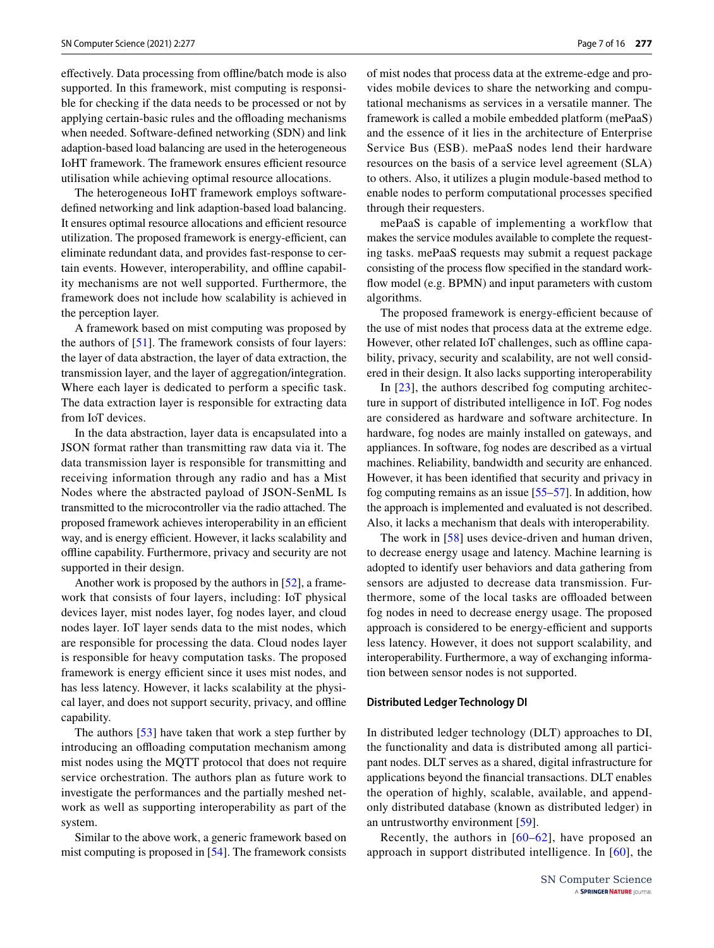efectively. Data processing from ofine/batch mode is also supported. In this framework, mist computing is responsible for checking if the data needs to be processed or not by applying certain-basic rules and the offloading mechanisms when needed. Software-defned networking (SDN) and link adaption-based load balancing are used in the heterogeneous IoHT framework. The framework ensures efficient resource utilisation while achieving optimal resource allocations.

The heterogeneous IoHT framework employs softwaredefned networking and link adaption-based load balancing. It ensures optimal resource allocations and efficient resource utilization. The proposed framework is energy-efficient, can eliminate redundant data, and provides fast-response to certain events. However, interoperability, and ofine capability mechanisms are not well supported. Furthermore, the framework does not include how scalability is achieved in the perception layer.

A framework based on mist computing was proposed by the authors of [[51\]](#page-14-30). The framework consists of four layers: the layer of data abstraction, the layer of data extraction, the transmission layer, and the layer of aggregation/integration. Where each layer is dedicated to perform a specifc task. The data extraction layer is responsible for extracting data from IoT devices.

In the data abstraction, layer data is encapsulated into a JSON format rather than transmitting raw data via it. The data transmission layer is responsible for transmitting and receiving information through any radio and has a Mist Nodes where the abstracted payload of JSON-SenML Is transmitted to the microcontroller via the radio attached. The proposed framework achieves interoperability in an efficient way, and is energy efficient. However, it lacks scalability and ofine capability. Furthermore, privacy and security are not supported in their design.

Another work is proposed by the authors in [\[52\]](#page-14-31), a framework that consists of four layers, including: IoT physical devices layer, mist nodes layer, fog nodes layer, and cloud nodes layer. IoT layer sends data to the mist nodes, which are responsible for processing the data. Cloud nodes layer is responsible for heavy computation tasks. The proposed framework is energy efficient since it uses mist nodes, and has less latency. However, it lacks scalability at the physical layer, and does not support security, privacy, and ofine capability.

The authors [\[53\]](#page-14-32) have taken that work a step further by introducing an offloading computation mechanism among mist nodes using the MQTT protocol that does not require service orchestration. The authors plan as future work to investigate the performances and the partially meshed network as well as supporting interoperability as part of the system.

Similar to the above work, a generic framework based on mist computing is proposed in [\[54](#page-14-33)]. The framework consists of mist nodes that process data at the extreme-edge and provides mobile devices to share the networking and computational mechanisms as services in a versatile manner. The framework is called a mobile embedded platform (mePaaS) and the essence of it lies in the architecture of Enterprise Service Bus (ESB). mePaaS nodes lend their hardware resources on the basis of a service level agreement (SLA) to others. Also, it utilizes a plugin module-based method to enable nodes to perform computational processes specifed through their requesters.

mePaaS is capable of implementing a workflow that makes the service modules available to complete the requesting tasks. mePaaS requests may submit a request package consisting of the process fow specifed in the standard workflow model (e.g. BPMN) and input parameters with custom algorithms.

The proposed framework is energy-efficient because of the use of mist nodes that process data at the extreme edge. However, other related IoT challenges, such as offline capability, privacy, security and scalability, are not well considered in their design. It also lacks supporting interoperability

In [[23\]](#page-14-5), the authors described fog computing architecture in support of distributed intelligence in IoT. Fog nodes are considered as hardware and software architecture. In hardware, fog nodes are mainly installed on gateways, and appliances. In software, fog nodes are described as a virtual machines. Reliability, bandwidth and security are enhanced. However, it has been identifed that security and privacy in fog computing remains as an issue [[55–](#page-14-34)[57\]](#page-14-35). In addition, how the approach is implemented and evaluated is not described. Also, it lacks a mechanism that deals with interoperability.

The work in [\[58](#page-15-0)] uses device-driven and human driven, to decrease energy usage and latency. Machine learning is adopted to identify user behaviors and data gathering from sensors are adjusted to decrease data transmission. Furthermore, some of the local tasks are offloaded between fog nodes in need to decrease energy usage. The proposed approach is considered to be energy-efficient and supports less latency. However, it does not support scalability, and interoperability. Furthermore, a way of exchanging information between sensor nodes is not supported.

#### **Distributed Ledger Technology DI**

In distributed ledger technology (DLT) approaches to DI, the functionality and data is distributed among all participant nodes. DLT serves as a shared, digital infrastructure for applications beyond the fnancial transactions. DLT enables the operation of highly, scalable, available, and appendonly distributed database (known as distributed ledger) in an untrustworthy environment [[59\]](#page-15-1).

Recently, the authors in  $[60-62]$  $[60-62]$  $[60-62]$  $[60-62]$  $[60-62]$ , have proposed an approach in support distributed intelligence. In [[60](#page-15-2)], the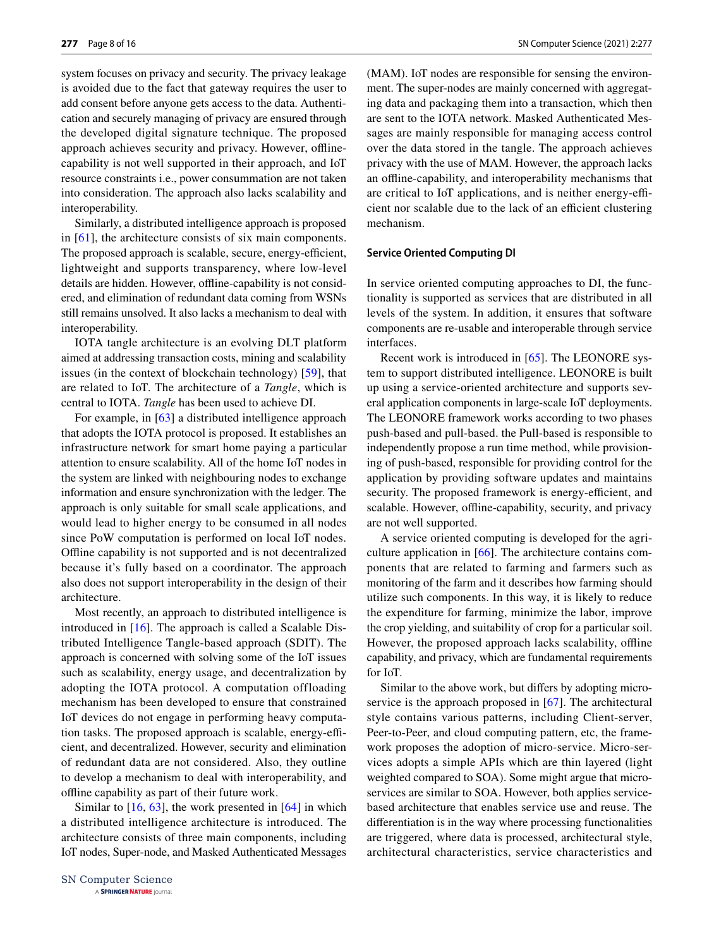system focuses on privacy and security. The privacy leakage is avoided due to the fact that gateway requires the user to add consent before anyone gets access to the data. Authentication and securely managing of privacy are ensured through the developed digital signature technique. The proposed approach achieves security and privacy. However, offlinecapability is not well supported in their approach, and IoT resource constraints i.e., power consummation are not taken into consideration. The approach also lacks scalability and interoperability.

Similarly, a distributed intelligence approach is proposed in [\[61\]](#page-15-4), the architecture consists of six main components. The proposed approach is scalable, secure, energy-efficient, lightweight and supports transparency, where low-level details are hidden. However, offline-capability is not considered, and elimination of redundant data coming from WSNs still remains unsolved. It also lacks a mechanism to deal with interoperability.

IOTA tangle architecture is an evolving DLT platform aimed at addressing transaction costs, mining and scalability issues (in the context of blockchain technology) [[59\]](#page-15-1), that are related to IoT. The architecture of a *Tangle*, which is central to IOTA. *Tangle* has been used to achieve DI.

For example, in [[63\]](#page-15-5) a distributed intelligence approach that adopts the IOTA protocol is proposed. It establishes an infrastructure network for smart home paying a particular attention to ensure scalability. All of the home IoT nodes in the system are linked with neighbouring nodes to exchange information and ensure synchronization with the ledger. The approach is only suitable for small scale applications, and would lead to higher energy to be consumed in all nodes since PoW computation is performed on local IoT nodes. Ofine capability is not supported and is not decentralized because it's fully based on a coordinator. The approach also does not support interoperability in the design of their architecture.

Most recently, an approach to distributed intelligence is introduced in [[16](#page-13-14)]. The approach is called a Scalable Distributed Intelligence Tangle-based approach (SDIT). The approach is concerned with solving some of the IoT issues such as scalability, energy usage, and decentralization by adopting the IOTA protocol. A computation offloading mechanism has been developed to ensure that constrained IoT devices do not engage in performing heavy computation tasks. The proposed approach is scalable, energy-efficient, and decentralized. However, security and elimination of redundant data are not considered. Also, they outline to develop a mechanism to deal with interoperability, and ofine capability as part of their future work.

Similar to  $[16, 63]$  $[16, 63]$  $[16, 63]$ , the work presented in  $[64]$  $[64]$  in which a distributed intelligence architecture is introduced. The architecture consists of three main components, including IoT nodes, Super-node, and Masked Authenticated Messages (MAM). IoT nodes are responsible for sensing the environment. The super-nodes are mainly concerned with aggregating data and packaging them into a transaction, which then are sent to the IOTA network. Masked Authenticated Messages are mainly responsible for managing access control over the data stored in the tangle. The approach achieves privacy with the use of MAM. However, the approach lacks an ofine-capability, and interoperability mechanisms that are critical to IoT applications, and is neither energy-efficient nor scalable due to the lack of an efficient clustering mechanism.

#### **Service Oriented Computing DI**

In service oriented computing approaches to DI, the functionality is supported as services that are distributed in all levels of the system. In addition, it ensures that software components are re-usable and interoperable through service interfaces.

Recent work is introduced in [\[65](#page-15-7)]. The LEONORE system to support distributed intelligence. LEONORE is built up using a service-oriented architecture and supports several application components in large-scale IoT deployments. The LEONORE framework works according to two phases push-based and pull-based. the Pull-based is responsible to independently propose a run time method, while provisioning of push-based, responsible for providing control for the application by providing software updates and maintains security. The proposed framework is energy-efficient, and scalable. However, offline-capability, security, and privacy are not well supported.

A service oriented computing is developed for the agriculture application in [[66](#page-15-8)]. The architecture contains components that are related to farming and farmers such as monitoring of the farm and it describes how farming should utilize such components. In this way, it is likely to reduce the expenditure for farming, minimize the labor, improve the crop yielding, and suitability of crop for a particular soil. However, the proposed approach lacks scalability, offline capability, and privacy, which are fundamental requirements for IoT.

Similar to the above work, but difers by adopting microservice is the approach proposed in [\[67\]](#page-15-9). The architectural style contains various patterns, including Client-server, Peer-to-Peer, and cloud computing pattern, etc, the framework proposes the adoption of micro-service. Micro-services adopts a simple APIs which are thin layered (light weighted compared to SOA). Some might argue that microservices are similar to SOA. However, both applies servicebased architecture that enables service use and reuse. The diferentiation is in the way where processing functionalities are triggered, where data is processed, architectural style, architectural characteristics, service characteristics and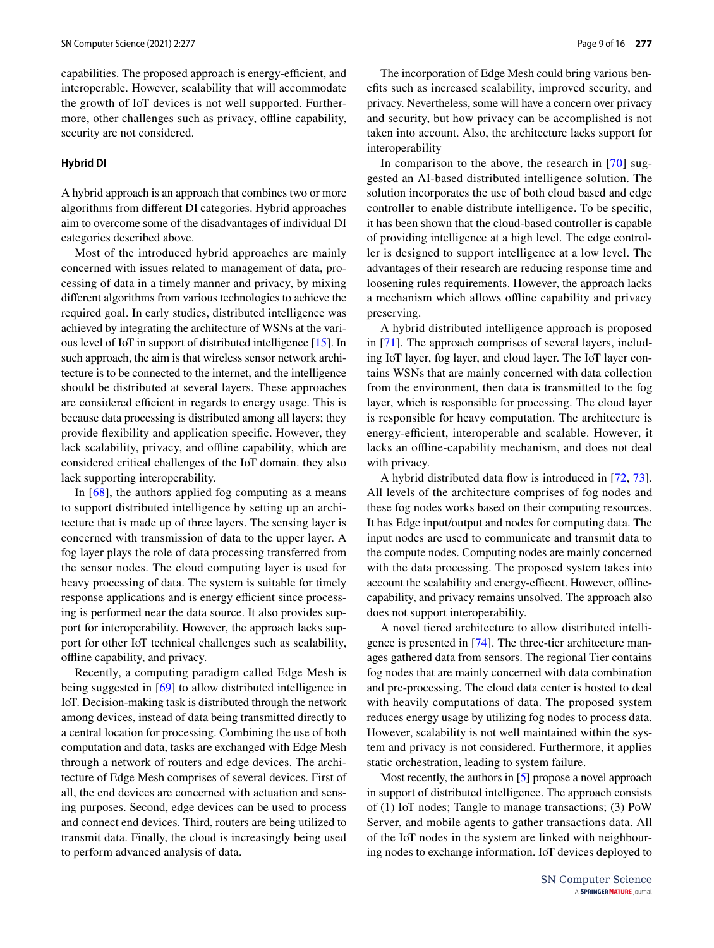capabilities. The proposed approach is energy-efficient, and interoperable. However, scalability that will accommodate the growth of IoT devices is not well supported. Furthermore, other challenges such as privacy, offline capability, security are not considered.

### **Hybrid DI**

A hybrid approach is an approach that combines two or more algorithms from diferent DI categories. Hybrid approaches aim to overcome some of the disadvantages of individual DI categories described above.

Most of the introduced hybrid approaches are mainly concerned with issues related to management of data, processing of data in a timely manner and privacy, by mixing diferent algorithms from various technologies to achieve the required goal. In early studies, distributed intelligence was achieved by integrating the architecture of WSNs at the various level of IoT in support of distributed intelligence [[15\]](#page-13-13). In such approach, the aim is that wireless sensor network architecture is to be connected to the internet, and the intelligence should be distributed at several layers. These approaches are considered efficient in regards to energy usage. This is because data processing is distributed among all layers; they provide fexibility and application specifc. However, they lack scalability, privacy, and offline capability, which are considered critical challenges of the IoT domain. they also lack supporting interoperability.

In [[68\]](#page-15-10), the authors applied fog computing as a means to support distributed intelligence by setting up an architecture that is made up of three layers. The sensing layer is concerned with transmission of data to the upper layer. A fog layer plays the role of data processing transferred from the sensor nodes. The cloud computing layer is used for heavy processing of data. The system is suitable for timely response applications and is energy efficient since processing is performed near the data source. It also provides support for interoperability. However, the approach lacks support for other IoT technical challenges such as scalability, ofine capability, and privacy.

Recently, a computing paradigm called Edge Mesh is being suggested in [[69](#page-15-11)] to allow distributed intelligence in IoT. Decision-making task is distributed through the network among devices, instead of data being transmitted directly to a central location for processing. Combining the use of both computation and data, tasks are exchanged with Edge Mesh through a network of routers and edge devices. The architecture of Edge Mesh comprises of several devices. First of all, the end devices are concerned with actuation and sensing purposes. Second, edge devices can be used to process and connect end devices. Third, routers are being utilized to transmit data. Finally, the cloud is increasingly being used to perform advanced analysis of data.

The incorporation of Edge Mesh could bring various benefts such as increased scalability, improved security, and privacy. Nevertheless, some will have a concern over privacy and security, but how privacy can be accomplished is not taken into account. Also, the architecture lacks support for interoperability

In comparison to the above, the research in [[70\]](#page-15-12) suggested an AI-based distributed intelligence solution. The solution incorporates the use of both cloud based and edge controller to enable distribute intelligence. To be specifc, it has been shown that the cloud-based controller is capable of providing intelligence at a high level. The edge controller is designed to support intelligence at a low level. The advantages of their research are reducing response time and loosening rules requirements. However, the approach lacks a mechanism which allows ofine capability and privacy preserving.

A hybrid distributed intelligence approach is proposed in [\[71\]](#page-15-13). The approach comprises of several layers, including IoT layer, fog layer, and cloud layer. The IoT layer contains WSNs that are mainly concerned with data collection from the environment, then data is transmitted to the fog layer, which is responsible for processing. The cloud layer is responsible for heavy computation. The architecture is energy-efficient, interoperable and scalable. However, it lacks an offline-capability mechanism, and does not deal with privacy.

A hybrid distributed data fow is introduced in [[72,](#page-15-14) [73](#page-15-15)]. All levels of the architecture comprises of fog nodes and these fog nodes works based on their computing resources. It has Edge input/output and nodes for computing data. The input nodes are used to communicate and transmit data to the compute nodes. Computing nodes are mainly concerned with the data processing. The proposed system takes into account the scalability and energy-efficent. However, offlinecapability, and privacy remains unsolved. The approach also does not support interoperability.

A novel tiered architecture to allow distributed intelligence is presented in [[74\]](#page-15-16). The three-tier architecture manages gathered data from sensors. The regional Tier contains fog nodes that are mainly concerned with data combination and pre-processing. The cloud data center is hosted to deal with heavily computations of data. The proposed system reduces energy usage by utilizing fog nodes to process data. However, scalability is not well maintained within the system and privacy is not considered. Furthermore, it applies static orchestration, leading to system failure.

Most recently, the authors in [\[5](#page-13-3)] propose a novel approach in support of distributed intelligence. The approach consists of (1) IoT nodes; Tangle to manage transactions; (3) PoW Server, and mobile agents to gather transactions data. All of the IoT nodes in the system are linked with neighbouring nodes to exchange information. IoT devices deployed to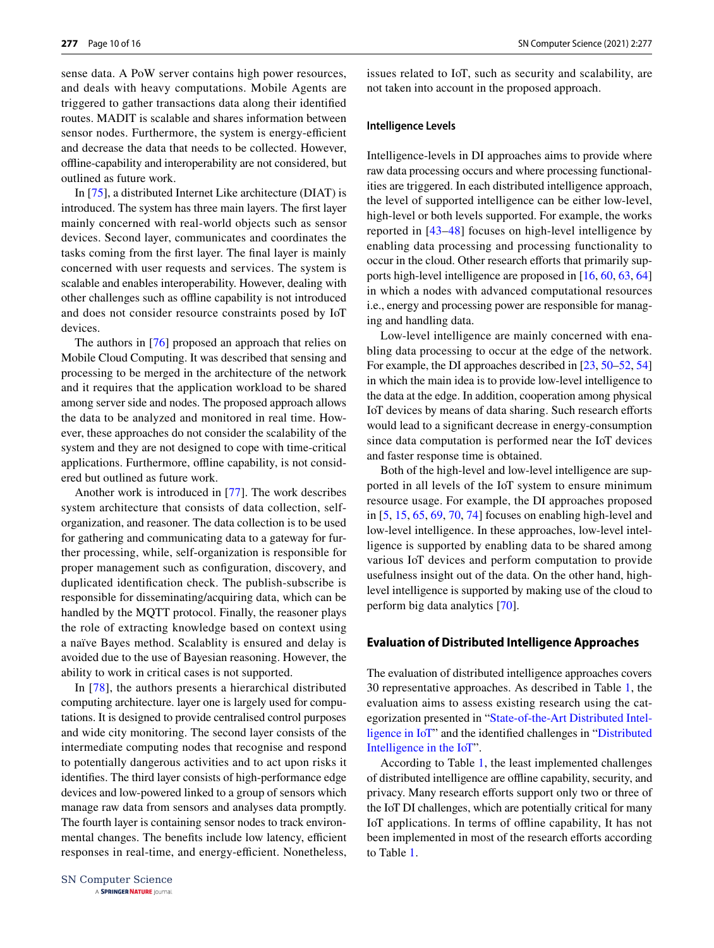sense data. A PoW server contains high power resources, and deals with heavy computations. Mobile Agents are triggered to gather transactions data along their identifed routes. MADIT is scalable and shares information between sensor nodes. Furthermore, the system is energy-efficient and decrease the data that needs to be collected. However, ofine-capability and interoperability are not considered, but outlined as future work.

In [\[75](#page-15-17)], a distributed Internet Like architecture (DIAT) is introduced. The system has three main layers. The frst layer mainly concerned with real-world objects such as sensor devices. Second layer, communicates and coordinates the tasks coming from the frst layer. The fnal layer is mainly concerned with user requests and services. The system is scalable and enables interoperability. However, dealing with other challenges such as ofine capability is not introduced and does not consider resource constraints posed by IoT devices.

The authors in [[76\]](#page-15-18) proposed an approach that relies on Mobile Cloud Computing. It was described that sensing and processing to be merged in the architecture of the network and it requires that the application workload to be shared among server side and nodes. The proposed approach allows the data to be analyzed and monitored in real time. However, these approaches do not consider the scalability of the system and they are not designed to cope with time-critical applications. Furthermore, offline capability, is not considered but outlined as future work.

Another work is introduced in [[77](#page-15-19)]. The work describes system architecture that consists of data collection, selforganization, and reasoner. The data collection is to be used for gathering and communicating data to a gateway for further processing, while, self-organization is responsible for proper management such as confguration, discovery, and duplicated identifcation check. The publish-subscribe is responsible for disseminating/acquiring data, which can be handled by the MQTT protocol. Finally, the reasoner plays the role of extracting knowledge based on context using a naïve Bayes method. Scalablity is ensured and delay is avoided due to the use of Bayesian reasoning. However, the ability to work in critical cases is not supported.

In [[78](#page-15-20)], the authors presents a hierarchical distributed computing architecture. layer one is largely used for computations. It is designed to provide centralised control purposes and wide city monitoring. The second layer consists of the intermediate computing nodes that recognise and respond to potentially dangerous activities and to act upon risks it identifes. The third layer consists of high-performance edge devices and low-powered linked to a group of sensors which manage raw data from sensors and analyses data promptly. The fourth layer is containing sensor nodes to track environmental changes. The benefits include low latency, efficient responses in real-time, and energy-efficient. Nonetheless, issues related to IoT, such as security and scalability, are not taken into account in the proposed approach.

#### **Intelligence Levels**

Intelligence-levels in DI approaches aims to provide where raw data processing occurs and where processing functionalities are triggered. In each distributed intelligence approach, the level of supported intelligence can be either low-level, high-level or both levels supported. For example, the works reported in [[43–](#page-14-22)[48](#page-14-27)] focuses on high-level intelligence by enabling data processing and processing functionality to occur in the cloud. Other research efforts that primarily supports high-level intelligence are proposed in [[16,](#page-13-14) [60](#page-15-2), [63](#page-15-5), [64\]](#page-15-6) in which a nodes with advanced computational resources i.e., energy and processing power are responsible for managing and handling data.

Low-level intelligence are mainly concerned with enabling data processing to occur at the edge of the network. For example, the DI approaches described in [\[23,](#page-14-5) [50](#page-14-29)[–52](#page-14-31), [54\]](#page-14-33) in which the main idea is to provide low-level intelligence to the data at the edge. In addition, cooperation among physical IoT devices by means of data sharing. Such research efforts would lead to a signifcant decrease in energy-consumption since data computation is performed near the IoT devices and faster response time is obtained.

Both of the high-level and low-level intelligence are supported in all levels of the IoT system to ensure minimum resource usage. For example, the DI approaches proposed in [[5,](#page-13-3) [15,](#page-13-13) [65,](#page-15-7) [69,](#page-15-11) [70](#page-15-12), [74](#page-15-16)] focuses on enabling high-level and low-level intelligence. In these approaches, low-level intelligence is supported by enabling data to be shared among various IoT devices and perform computation to provide usefulness insight out of the data. On the other hand, highlevel intelligence is supported by making use of the cloud to perform big data analytics [[70\]](#page-15-12).

#### **Evaluation of Distributed Intelligence Approaches**

The evaluation of distributed intelligence approaches covers 30 representative approaches. As described in Table [1](#page-10-0), the evaluation aims to assess existing research using the categorization presented in "[State-of-the-Art Distributed Intel](#page-5-0)[ligence in IoT](#page-5-0)" and the identifed challenges in "[Distributed](#page-2-0) [Intelligence in the IoT](#page-2-0)".

According to Table [1](#page-10-0), the least implemented challenges of distributed intelligence are ofine capability, security, and privacy. Many research efforts support only two or three of the IoT DI challenges, which are potentially critical for many IoT applications. In terms of ofine capability, It has not been implemented in most of the research efforts according to Table [1.](#page-10-0)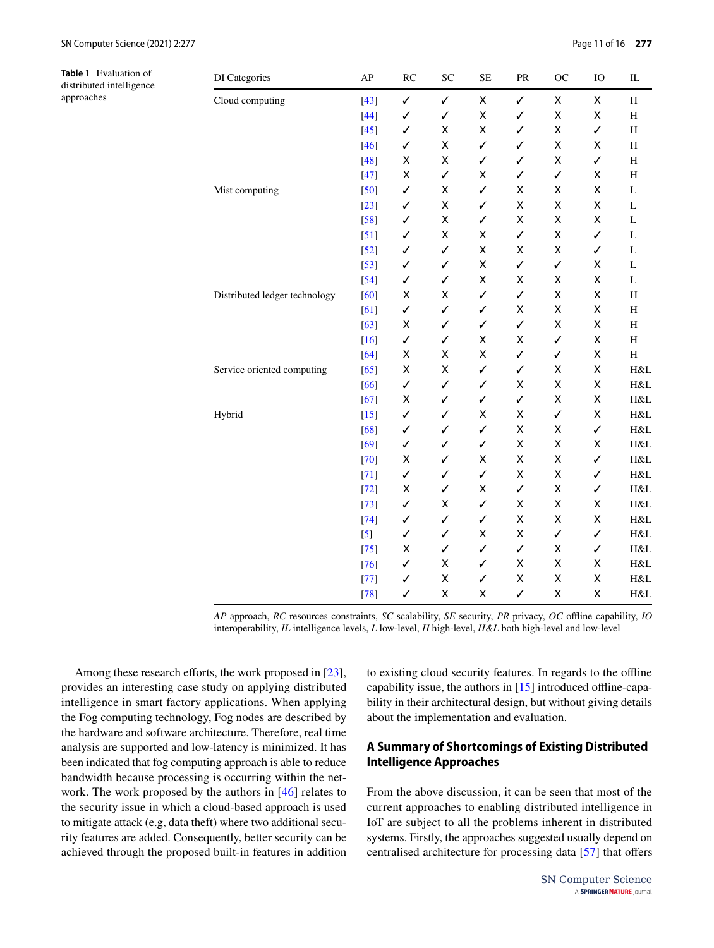<span id="page-10-0"></span>**Table 1** Evaluation of distributed intelligence approaches

| DI Categories                 | AP               | RC | ${\rm SC}$   | <b>SE</b>    | PR           | OC | IO           | IL           |
|-------------------------------|------------------|----|--------------|--------------|--------------|----|--------------|--------------|
| Cloud computing               | $[43]$           | ✓  | $\checkmark$ | Χ            | $\checkmark$ | Χ  | X            | H            |
|                               | $[44]$           | ✓  | ✓            | X            | ✓            | Χ  | X            | $\, {\rm H}$ |
|                               | $[45]$           | ✓  | Χ            | X            | $\checkmark$ | X  | $\checkmark$ | $\, {\rm H}$ |
|                               | $[46]$           | ✓  | X            | $\checkmark$ | $\checkmark$ | X  | X            | $\, {\rm H}$ |
|                               | $[48]$           | Χ  | Χ            | ✓            | ✓            | X  | ✓            | $\, {\rm H}$ |
|                               | $[47]$           | Χ  | ✓            | Χ            | ✓            | ✓  | X            | $\, {\rm H}$ |
| Mist computing                | $[50]$           | ✓  | Χ            | $\checkmark$ | Χ            | Χ  | Χ            | L            |
|                               | $[23]$           | ✓  | Χ            | ✓            | Χ            | X  | Χ            | L            |
|                               | $[58]$           | ✓  | Χ            | $\checkmark$ | Χ            | Χ  | X            | L            |
|                               | $[51]$           | ✓  | X            | X            | $\checkmark$ | Χ  | ✓            | L            |
|                               | $[52]$           | ✓  | ✓            | X            | X            | Χ  | ✓            | L            |
|                               | $[53]$           | ✓  | ✓            | Χ            | ✓            | ✓  | X            | L            |
|                               | $[54]$           | ✓  | ✓            | X            | Χ            | Χ  | Χ            | L            |
| Distributed ledger technology | [60]             | Χ  | X            | $\checkmark$ | $\checkmark$ | X  | X            | $\, {\rm H}$ |
|                               | [61]             | ✓  | ✓            | $\checkmark$ | Χ            | X  | X            | $\, {\rm H}$ |
|                               | $[63]$           | Χ  | ✓            | $\checkmark$ | $\checkmark$ | X  | X            | $\, {\rm H}$ |
|                               | $[16]$           | ✓  | ✓            | X            | X            | ✓  | X            | H            |
|                               | [64]             | Χ  | X            | X            | ✓            | ✓  | Χ            | H            |
| Service oriented computing    | [65]             | Χ  | X            | ✓            | ✓            | Χ  | Χ            | H&L          |
|                               | [66]             | ✓  | ✓            | $\checkmark$ | Χ            | X  | Χ            | H&L          |
|                               | $[67]$           | Χ  | ✓            | $\checkmark$ | ✓            | X  | X            | H&L          |
| Hybrid                        | $[15]$           | ✓  | ✓            | Χ            | Χ            | ✓  | X            | H&L          |
|                               | [68]             | ✓  | ✓            | $\checkmark$ | X            | X  | $\checkmark$ | H&L          |
|                               | [69]             | ✓  | ✓            | ✓            | Χ            | X  | X            | H&L          |
|                               | $[70]$           | Χ  | ✓            | X            | Χ            | Χ  | $\checkmark$ | H&L          |
|                               | $[71]$           | ✓  | ✓            | $\checkmark$ | Χ            | Χ  | $\checkmark$ | H&L          |
|                               | $[72]$           | Χ  | ✓            | Χ            | ✓            | X  | $\checkmark$ | H&L          |
|                               | $[73]$           | ✓  | Χ            | $\checkmark$ | Χ            | X  | X            | H&L          |
|                               | $[74]$           | ✓  | ✓            | $\checkmark$ | X            | X  | X            | H&L          |
|                               | $\left[5\right]$ | ✓  | ✓            | X            | Χ            | ✓  | $\checkmark$ | H&L          |
|                               | $[75]$           | Χ  | ✓            | $\checkmark$ | $\checkmark$ | X  | $\checkmark$ | H&L          |
|                               | $[76]$           | ✓  | Χ            | $\checkmark$ | X            | X  | Χ            | H&L          |
|                               | $[77]$           | ✓  | X            | $\checkmark$ | Χ            | X  | Χ            | H&L          |
|                               | $[78]$           | ✓  | X            | X            | $\checkmark$ | X  | X            | H&L          |

*AP* approach, *RC* resources constraints, *SC* scalability, *SE* security, *PR* privacy, *OC* ofine capability, *IO* interoperability, *IL* intelligence levels, *L* low-level, *H* high-level, *H&L* both high-level and low-level

Among these research efforts, the work proposed in [\[23](#page-14-5)], provides an interesting case study on applying distributed intelligence in smart factory applications. When applying the Fog computing technology, Fog nodes are described by the hardware and software architecture. Therefore, real time analysis are supported and low-latency is minimized. It has been indicated that fog computing approach is able to reduce bandwidth because processing is occurring within the network. The work proposed by the authors in [\[46](#page-14-25)] relates to the security issue in which a cloud-based approach is used to mitigate attack (e.g, data theft) where two additional security features are added. Consequently, better security can be achieved through the proposed built-in features in addition to existing cloud security features. In regards to the ofine capability issue, the authors in  $[15]$  $[15]$  introduced offline-capability in their architectural design, but without giving details about the implementation and evaluation.

# **A Summary of Shortcomings of Existing Distributed Intelligence Approaches**

From the above discussion, it can be seen that most of the current approaches to enabling distributed intelligence in IoT are subject to all the problems inherent in distributed systems. Firstly, the approaches suggested usually depend on centralised architecture for processing data [[57](#page-14-35)] that ofers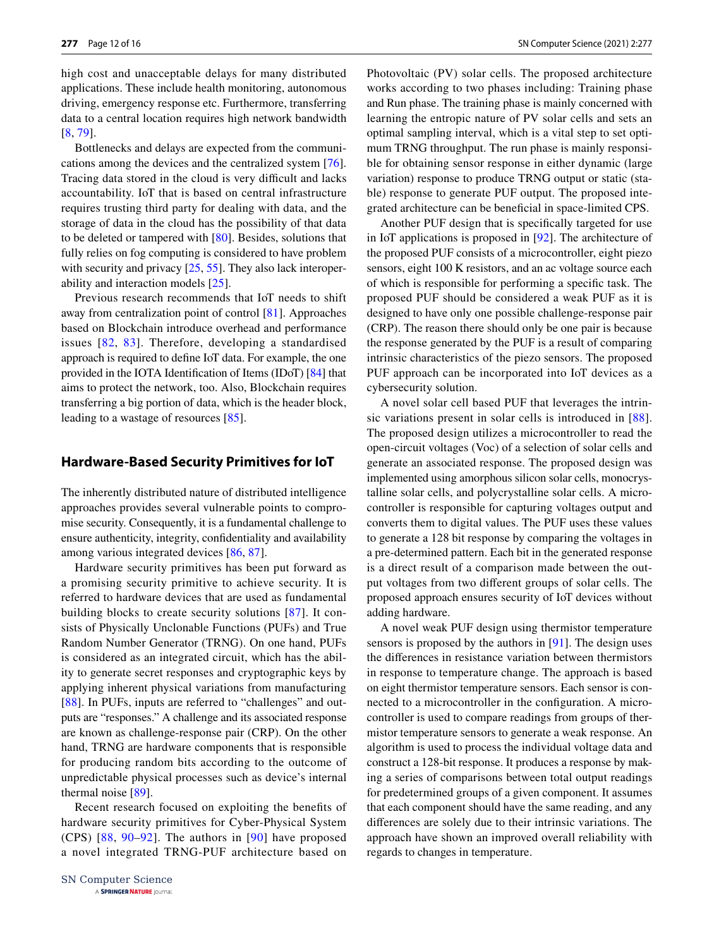high cost and unacceptable delays for many distributed applications. These include health monitoring, autonomous driving, emergency response etc. Furthermore, transferring data to a central location requires high network bandwidth [\[8](#page-13-6), [79\]](#page-15-21).

Bottlenecks and delays are expected from the communications among the devices and the centralized system [\[76](#page-15-18)]. Tracing data stored in the cloud is very difficult and lacks accountability. IoT that is based on central infrastructure requires trusting third party for dealing with data, and the storage of data in the cloud has the possibility of that data to be deleted or tampered with [[80](#page-15-22)]. Besides, solutions that fully relies on fog computing is considered to have problem with security and privacy  $[25, 55]$  $[25, 55]$  $[25, 55]$  $[25, 55]$ . They also lack interoperability and interaction models [\[25](#page-14-7)].

Previous research recommends that IoT needs to shift away from centralization point of control [[81\]](#page-15-23). Approaches based on Blockchain introduce overhead and performance issues [[82,](#page-15-24) [83\]](#page-15-25). Therefore, developing a standardised approach is required to defne IoT data. For example, the one provided in the IOTA Identifcation of Items (IDoT) [[84\]](#page-15-26) that aims to protect the network, too. Also, Blockchain requires transferring a big portion of data, which is the header block, leading to a wastage of resources [[85\]](#page-15-27).

## <span id="page-11-0"></span>**Hardware‑Based Security Primitives for IoT**

The inherently distributed nature of distributed intelligence approaches provides several vulnerable points to compromise security. Consequently, it is a fundamental challenge to ensure authenticity, integrity, confdentiality and availability among various integrated devices [\[86](#page-15-28), [87](#page-15-29)].

Hardware security primitives has been put forward as a promising security primitive to achieve security. It is referred to hardware devices that are used as fundamental building blocks to create security solutions [[87](#page-15-29)]. It consists of Physically Unclonable Functions (PUFs) and True Random Number Generator (TRNG). On one hand, PUFs is considered as an integrated circuit, which has the ability to generate secret responses and cryptographic keys by applying inherent physical variations from manufacturing [\[88\]](#page-15-30). In PUFs, inputs are referred to "challenges" and outputs are "responses." A challenge and its associated response are known as challenge-response pair (CRP). On the other hand, TRNG are hardware components that is responsible for producing random bits according to the outcome of unpredictable physical processes such as device's internal thermal noise [[89\]](#page-15-31).

Recent research focused on exploiting the benefts of hardware security primitives for Cyber-Physical System (CPS) [\[88,](#page-15-30) [90](#page-15-32)[–92\]](#page-15-33). The authors in [\[90\]](#page-15-32) have proposed a novel integrated TRNG-PUF architecture based on Photovoltaic (PV) solar cells. The proposed architecture works according to two phases including: Training phase and Run phase. The training phase is mainly concerned with learning the entropic nature of PV solar cells and sets an optimal sampling interval, which is a vital step to set optimum TRNG throughput. The run phase is mainly responsible for obtaining sensor response in either dynamic (large variation) response to produce TRNG output or static (stable) response to generate PUF output. The proposed integrated architecture can be benefcial in space-limited CPS.

Another PUF design that is specifcally targeted for use in IoT applications is proposed in [\[92](#page-15-33)]. The architecture of the proposed PUF consists of a microcontroller, eight piezo sensors, eight 100 K resistors, and an ac voltage source each of which is responsible for performing a specifc task. The proposed PUF should be considered a weak PUF as it is designed to have only one possible challenge-response pair (CRP). The reason there should only be one pair is because the response generated by the PUF is a result of comparing intrinsic characteristics of the piezo sensors. The proposed PUF approach can be incorporated into IoT devices as a cybersecurity solution.

A novel solar cell based PUF that leverages the intrinsic variations present in solar cells is introduced in [[88](#page-15-30)]. The proposed design utilizes a microcontroller to read the open-circuit voltages (Voc) of a selection of solar cells and generate an associated response. The proposed design was implemented using amorphous silicon solar cells, monocrystalline solar cells, and polycrystalline solar cells. A microcontroller is responsible for capturing voltages output and converts them to digital values. The PUF uses these values to generate a 128 bit response by comparing the voltages in a pre-determined pattern. Each bit in the generated response is a direct result of a comparison made between the output voltages from two diferent groups of solar cells. The proposed approach ensures security of IoT devices without adding hardware.

A novel weak PUF design using thermistor temperature sensors is proposed by the authors in [\[91](#page-15-34)]. The design uses the diferences in resistance variation between thermistors in response to temperature change. The approach is based on eight thermistor temperature sensors. Each sensor is connected to a microcontroller in the confguration. A microcontroller is used to compare readings from groups of thermistor temperature sensors to generate a weak response. An algorithm is used to process the individual voltage data and construct a 128-bit response. It produces a response by making a series of comparisons between total output readings for predetermined groups of a given component. It assumes that each component should have the same reading, and any diferences are solely due to their intrinsic variations. The approach have shown an improved overall reliability with regards to changes in temperature.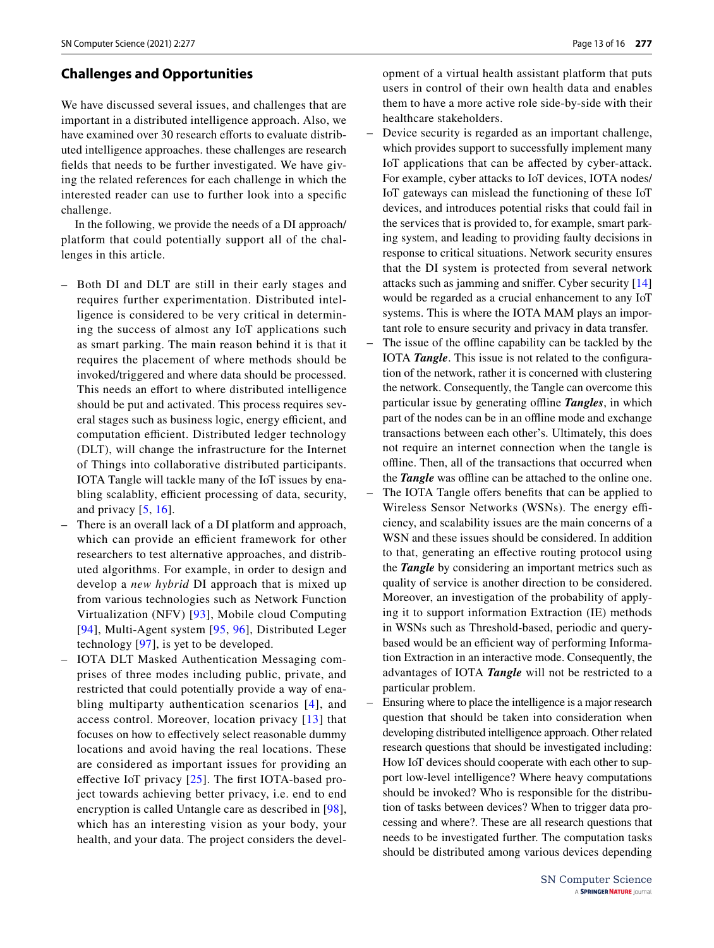# <span id="page-12-0"></span>**Challenges and Opportunities**

We have discussed several issues, and challenges that are important in a distributed intelligence approach. Also, we have examined over 30 research efforts to evaluate distributed intelligence approaches. these challenges are research felds that needs to be further investigated. We have giving the related references for each challenge in which the interested reader can use to further look into a specifc challenge.

In the following, we provide the needs of a DI approach/ platform that could potentially support all of the challenges in this article.

- Both DI and DLT are still in their early stages and requires further experimentation. Distributed intelligence is considered to be very critical in determining the success of almost any IoT applications such as smart parking. The main reason behind it is that it requires the placement of where methods should be invoked/triggered and where data should be processed. This needs an effort to where distributed intelligence should be put and activated. This process requires several stages such as business logic, energy efficient, and computation efficient. Distributed ledger technology (DLT), will change the infrastructure for the Internet of Things into collaborative distributed participants. IOTA Tangle will tackle many of the IoT issues by enabling scalablity, efficient processing of data, security, and privacy [[5](#page-13-3), [16\]](#page-13-14).
- There is an overall lack of a DI platform and approach, which can provide an efficient framework for other researchers to test alternative approaches, and distributed algorithms. For example, in order to design and develop a *new hybrid* DI approach that is mixed up from various technologies such as Network Function Virtualization (NFV) [[93](#page-15-35)], Mobile cloud Computing [[94](#page-15-36)], Multi-Agent system [[95,](#page-15-37) [96\]](#page-15-38), Distributed Leger technology [\[97\]](#page-15-39), is yet to be developed.
- IOTA DLT Masked Authentication Messaging comprises of three modes including public, private, and restricted that could potentially provide a way of enabling multiparty authentication scenarios [[4](#page-13-2)], and access control. Moreover, location privacy [[13](#page-13-11)] that focuses on how to efectively select reasonable dummy locations and avoid having the real locations. These are considered as important issues for providing an effective IoT privacy  $[25]$  $[25]$  $[25]$ . The first IOTA-based project towards achieving better privacy, i.e. end to end encryption is called Untangle care as described in [[98](#page-15-40)], which has an interesting vision as your body, your health, and your data. The project considers the devel-

opment of a virtual health assistant platform that puts users in control of their own health data and enables them to have a more active role side-by-side with their healthcare stakeholders.

- Device security is regarded as an important challenge, which provides support to successfully implement many IoT applications that can be afected by cyber-attack. For example, cyber attacks to IoT devices, IOTA nodes/ IoT gateways can mislead the functioning of these IoT devices, and introduces potential risks that could fail in the services that is provided to, for example, smart parking system, and leading to providing faulty decisions in response to critical situations. Network security ensures that the DI system is protected from several network attacks such as jamming and snifer. Cyber security [[14\]](#page-13-12) would be regarded as a crucial enhancement to any IoT systems. This is where the IOTA MAM plays an important role to ensure security and privacy in data transfer.
- The issue of the ofine capability can be tackled by the IOTA *Tangle*. This issue is not related to the confguration of the network, rather it is concerned with clustering the network. Consequently, the Tangle can overcome this particular issue by generating ofine *Tangles*, in which part of the nodes can be in an offline mode and exchange transactions between each other's. Ultimately, this does not require an internet connection when the tangle is ofine. Then, all of the transactions that occurred when the **Tangle** was offline can be attached to the online one.
- The IOTA Tangle offers benefits that can be applied to Wireless Sensor Networks (WSNs). The energy efficiency, and scalability issues are the main concerns of a WSN and these issues should be considered. In addition to that, generating an efective routing protocol using the *Tangle* by considering an important metrics such as quality of service is another direction to be considered. Moreover, an investigation of the probability of applying it to support information Extraction (IE) methods in WSNs such as Threshold-based, periodic and querybased would be an efficient way of performing Information Extraction in an interactive mode. Consequently, the advantages of IOTA *Tangle* will not be restricted to a particular problem.
- Ensuring where to place the intelligence is a major research question that should be taken into consideration when developing distributed intelligence approach. Other related research questions that should be investigated including: How IoT devices should cooperate with each other to support low-level intelligence? Where heavy computations should be invoked? Who is responsible for the distribution of tasks between devices? When to trigger data processing and where?. These are all research questions that needs to be investigated further. The computation tasks should be distributed among various devices depending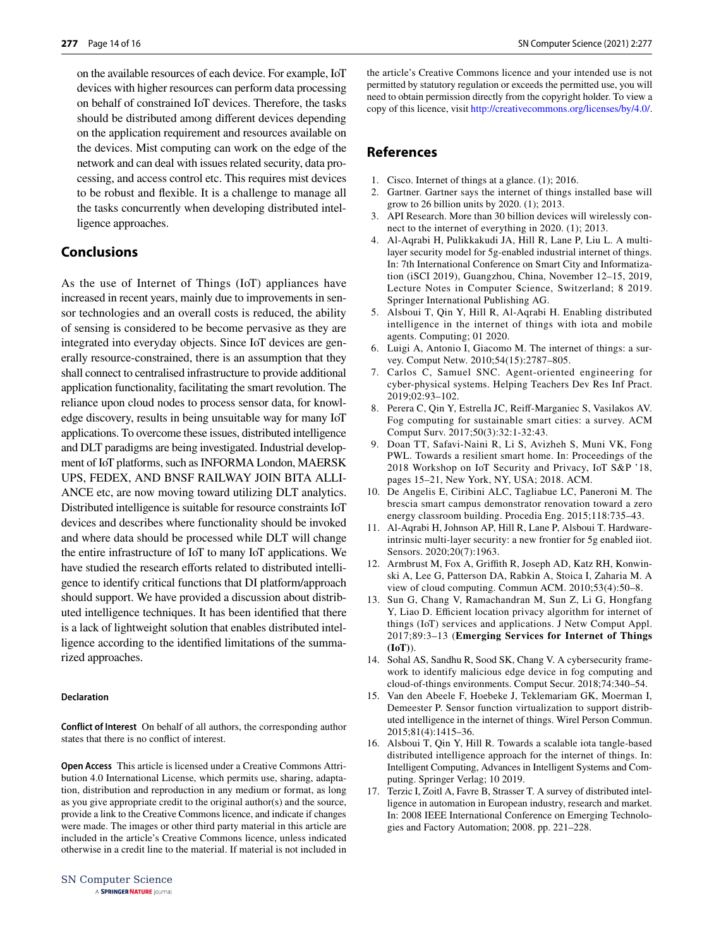on the available resources of each device. For example, IoT devices with higher resources can perform data processing on behalf of constrained IoT devices. Therefore, the tasks should be distributed among diferent devices depending on the application requirement and resources available on the devices. Mist computing can work on the edge of the network and can deal with issues related security, data processing, and access control etc. This requires mist devices to be robust and fexible. It is a challenge to manage all the tasks concurrently when developing distributed intelligence approaches.

# <span id="page-13-16"></span>**Conclusions**

As the use of Internet of Things (IoT) appliances have increased in recent years, mainly due to improvements in sensor technologies and an overall costs is reduced, the ability of sensing is considered to be become pervasive as they are integrated into everyday objects. Since IoT devices are generally resource-constrained, there is an assumption that they shall connect to centralised infrastructure to provide additional application functionality, facilitating the smart revolution. The reliance upon cloud nodes to process sensor data, for knowledge discovery, results in being unsuitable way for many IoT applications. To overcome these issues, distributed intelligence and DLT paradigms are being investigated. Industrial development of IoT platforms, such as INFORMA London, MAERSK UPS, FEDEX, AND BNSF RAILWAY JOIN BITA ALLI-ANCE etc, are now moving toward utilizing DLT analytics. Distributed intelligence is suitable for resource constraints IoT devices and describes where functionality should be invoked and where data should be processed while DLT will change the entire infrastructure of IoT to many IoT applications. We have studied the research efforts related to distributed intelligence to identify critical functions that DI platform/approach should support. We have provided a discussion about distributed intelligence techniques. It has been identifed that there is a lack of lightweight solution that enables distributed intelligence according to the identifed limitations of the summarized approaches.

#### **Declaration**

**Conflict of Interest** On behalf of all authors, the corresponding author states that there is no confict of interest.

**Open Access** This article is licensed under a Creative Commons Attribution 4.0 International License, which permits use, sharing, adaptation, distribution and reproduction in any medium or format, as long as you give appropriate credit to the original author(s) and the source, provide a link to the Creative Commons licence, and indicate if changes were made. The images or other third party material in this article are included in the article's Creative Commons licence, unless indicated otherwise in a credit line to the material. If material is not included in the article's Creative Commons licence and your intended use is not permitted by statutory regulation or exceeds the permitted use, you will need to obtain permission directly from the copyright holder. To view a copy of this licence, visit<http://creativecommons.org/licenses/by/4.0/>.

## **References**

- <span id="page-13-0"></span>1. Cisco. Internet of things at a glance. (1); 2016.
- <span id="page-13-17"></span>2. Gartner. Gartner says the internet of things installed base will grow to 26 billion units by 2020. (1); 2013.
- <span id="page-13-1"></span>3. API Research. More than 30 billion devices will wirelessly connect to the internet of everything in 2020. (1); 2013.
- <span id="page-13-2"></span>4. Al-Aqrabi H, Pulikkakudi JA, Hill R, Lane P, Liu L. A multilayer security model for 5g-enabled industrial internet of things. In: 7th International Conference on Smart City and Informatization (iSCI 2019), Guangzhou, China, November 12–15, 2019, Lecture Notes in Computer Science, Switzerland; 8 2019. Springer International Publishing AG.
- <span id="page-13-3"></span>5. Alsboui T, Qin Y, Hill R, Al-Aqrabi H. Enabling distributed intelligence in the internet of things with iota and mobile agents. Computing; 01 2020.
- <span id="page-13-4"></span>6. Luigi A, Antonio I, Giacomo M. The internet of things: a survey. Comput Netw. 2010;54(15):2787–805.
- <span id="page-13-5"></span>7. Carlos C, Samuel SNC. Agent-oriented engineering for cyber-physical systems. Helping Teachers Dev Res Inf Pract. 2019;02:93–102.
- <span id="page-13-6"></span>8. Perera C, Qin Y, Estrella JC, Reif-Marganiec S, Vasilakos AV. Fog computing for sustainable smart cities: a survey. ACM Comput Surv. 2017;50(3):32:1-32:43.
- <span id="page-13-7"></span>9. Doan TT, Safavi-Naini R, Li S, Avizheh S, Muni VK, Fong PWL. Towards a resilient smart home. In: Proceedings of the 2018 Workshop on IoT Security and Privacy, IoT S&P '18, pages 15–21, New York, NY, USA; 2018. ACM.
- <span id="page-13-8"></span>10. De Angelis E, Ciribini ALC, Tagliabue LC, Paneroni M. The brescia smart campus demonstrator renovation toward a zero energy classroom building. Procedia Eng. 2015;118:735–43.
- <span id="page-13-9"></span>11. Al-Aqrabi H, Johnson AP, Hill R, Lane P, Alsboui T. Hardwareintrinsic multi-layer security: a new frontier for 5g enabled iiot. Sensors. 2020;20(7):1963.
- <span id="page-13-10"></span>12. Armbrust M, Fox A, Grifth R, Joseph AD, Katz RH, Konwinski A, Lee G, Patterson DA, Rabkin A, Stoica I, Zaharia M. A view of cloud computing. Commun ACM. 2010;53(4):50–8.
- <span id="page-13-11"></span>13. Sun G, Chang V, Ramachandran M, Sun Z, Li G, Hongfang Y, Liao D. Efficient location privacy algorithm for internet of things (IoT) services and applications. J Netw Comput Appl. 2017;89:3–13 (**Emerging Services for Internet of Things (IoT)**).
- <span id="page-13-12"></span>14. Sohal AS, Sandhu R, Sood SK, Chang V. A cybersecurity framework to identify malicious edge device in fog computing and cloud-of-things environments. Comput Secur. 2018;74:340–54.
- <span id="page-13-13"></span>15. Van den Abeele F, Hoebeke J, Teklemariam GK, Moerman I, Demeester P. Sensor function virtualization to support distributed intelligence in the internet of things. Wirel Person Commun. 2015;81(4):1415–36.
- <span id="page-13-14"></span>16. Alsboui T, Qin Y, Hill R. Towards a scalable iota tangle-based distributed intelligence approach for the internet of things. In: Intelligent Computing, Advances in Intelligent Systems and Computing. Springer Verlag; 10 2019.
- <span id="page-13-15"></span>17. Terzic I, Zoitl A, Favre B, Strasser T. A survey of distributed intelligence in automation in European industry, research and market. In: 2008 IEEE International Conference on Emerging Technologies and Factory Automation; 2008. pp. 221–228.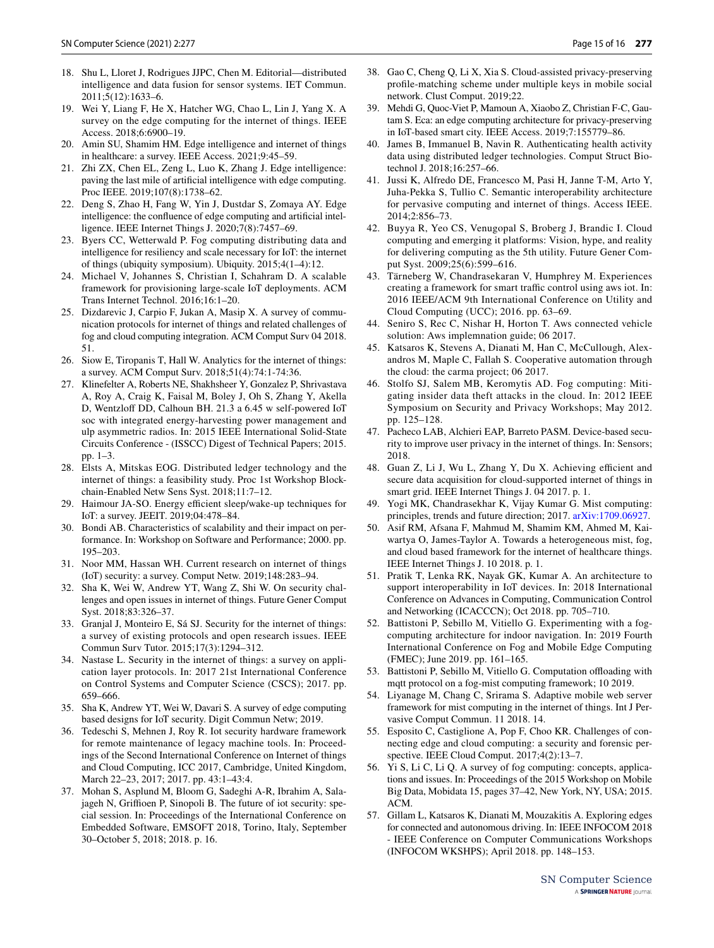- <span id="page-14-0"></span>18. Shu L, Lloret J, Rodrigues JJPC, Chen M. Editorial—distributed intelligence and data fusion for sensor systems. IET Commun. 2011;5(12):1633–6.
- <span id="page-14-1"></span>19. Wei Y, Liang F, He X, Hatcher WG, Chao L, Lin J, Yang X. A survey on the edge computing for the internet of things. IEEE Access. 2018;6:6900–19.
- <span id="page-14-2"></span>20. Amin SU, Shamim HM. Edge intelligence and internet of things in healthcare: a survey. IEEE Access. 2021;9:45–59.
- <span id="page-14-3"></span>21. Zhi ZX, Chen EL, Zeng L, Luo K, Zhang J. Edge intelligence: paving the last mile of artifcial intelligence with edge computing. Proc IEEE. 2019;107(8):1738–62.
- <span id="page-14-4"></span>22. Deng S, Zhao H, Fang W, Yin J, Dustdar S, Zomaya AY. Edge intelligence: the confuence of edge computing and artifcial intelligence. IEEE Internet Things J. 2020;7(8):7457–69.
- <span id="page-14-5"></span>23. Byers CC, Wetterwald P. Fog computing distributing data and intelligence for resiliency and scale necessary for IoT: the internet of things (ubiquity symposium). Ubiquity. 2015;4(1–4):12.
- <span id="page-14-6"></span>24. Michael V, Johannes S, Christian I, Schahram D. A scalable framework for provisioning large-scale IoT deployments. ACM Trans Internet Technol. 2016;16:1–20.
- <span id="page-14-7"></span>25. Dizdarevic J, Carpio F, Jukan A, Masip X. A survey of communication protocols for internet of things and related challenges of fog and cloud computing integration. ACM Comput Surv 04 2018. 51.
- <span id="page-14-8"></span>26. Siow E, Tiropanis T, Hall W. Analytics for the internet of things: a survey. ACM Comput Surv. 2018;51(4):74:1-74:36.
- <span id="page-14-9"></span>27. Klinefelter A, Roberts NE, Shakhsheer Y, Gonzalez P, Shrivastava A, Roy A, Craig K, Faisal M, Boley J, Oh S, Zhang Y, Akella D, Wentzloff DD, Calhoun BH. 21.3 a 6.45 w self-powered IoT soc with integrated energy-harvesting power management and ulp asymmetric radios. In: 2015 IEEE International Solid-State Circuits Conference - (ISSCC) Digest of Technical Papers; 2015. pp. 1–3.
- <span id="page-14-10"></span>28. Elsts A, Mitskas EOG. Distributed ledger technology and the internet of things: a feasibility study. Proc 1st Workshop Blockchain-Enabled Netw Sens Syst. 2018;11:7–12.
- <span id="page-14-11"></span>29. Haimour JA-SO. Energy efficient sleep/wake-up techniques for IoT: a survey. JEEIT. 2019;04:478–84.
- <span id="page-14-12"></span>30. Bondi AB. Characteristics of scalability and their impact on performance. In: Workshop on Software and Performance; 2000. pp. 195–203.
- <span id="page-14-13"></span>31. Noor MM, Hassan WH. Current research on internet of things (IoT) security: a survey. Comput Netw. 2019;148:283–94.
- <span id="page-14-14"></span>32. Sha K, Wei W, Andrew YT, Wang Z, Shi W. On security challenges and open issues in internet of things. Future Gener Comput Syst. 2018;83:326–37.
- <span id="page-14-15"></span>33. Granjal J, Monteiro E, Sá SJ. Security for the internet of things: a survey of existing protocols and open research issues. IEEE Commun Surv Tutor. 2015;17(3):1294–312.
- 34. Nastase L. Security in the internet of things: a survey on application layer protocols. In: 2017 21st International Conference on Control Systems and Computer Science (CSCS); 2017. pp. 659–666.
- 35. Sha K, Andrew YT, Wei W, Davari S. A survey of edge computing based designs for IoT security. Digit Commun Netw; 2019.
- 36. Tedeschi S, Mehnen J, Roy R. Iot security hardware framework for remote maintenance of legacy machine tools. In: Proceedings of the Second International Conference on Internet of things and Cloud Computing, ICC 2017, Cambridge, United Kingdom, March 22–23, 2017; 2017. pp. 43:1–43:4.
- <span id="page-14-16"></span>37. Mohan S, Asplund M, Bloom G, Sadeghi A-R, Ibrahim A, Salajageh N, Griffioen P, Sinopoli B. The future of iot security: special session. In: Proceedings of the International Conference on Embedded Software, EMSOFT 2018, Torino, Italy, September 30–October 5, 2018; 2018. p. 16.
- <span id="page-14-17"></span>38. Gao C, Cheng Q, Li X, Xia S. Cloud-assisted privacy-preserving profle-matching scheme under multiple keys in mobile social network. Clust Comput. 2019;22.
- <span id="page-14-18"></span>39. Mehdi G, Quoc-Viet P, Mamoun A, Xiaobo Z, Christian F-C, Gautam S. Eca: an edge computing architecture for privacy-preserving in IoT-based smart city. IEEE Access. 2019;7:155779–86.
- <span id="page-14-19"></span>40. James B, Immanuel B, Navin R. Authenticating health activity data using distributed ledger technologies. Comput Struct Biotechnol J. 2018;16:257–66.
- <span id="page-14-20"></span>41. Jussi K, Alfredo DE, Francesco M, Pasi H, Janne T-M, Arto Y, Juha-Pekka S, Tullio C. Semantic interoperability architecture for pervasive computing and internet of things. Access IEEE. 2014;2:856–73.
- <span id="page-14-21"></span>42. Buyya R, Yeo CS, Venugopal S, Broberg J, Brandic I. Cloud computing and emerging it platforms: Vision, hype, and reality for delivering computing as the 5th utility. Future Gener Comput Syst. 2009;25(6):599–616.
- <span id="page-14-22"></span>43. Tärneberg W, Chandrasekaran V, Humphrey M. Experiences creating a framework for smart traffic control using aws iot. In: 2016 IEEE/ACM 9th International Conference on Utility and Cloud Computing (UCC); 2016. pp. 63–69.
- <span id="page-14-23"></span>44. Seniro S, Rec C, Nishar H, Horton T. Aws connected vehicle solution: Aws implemnation guide; 06 2017.
- <span id="page-14-24"></span>45. Katsaros K, Stevens A, Dianati M, Han C, McCullough, Alexandros M, Maple C, Fallah S. Cooperative automation through the cloud: the carma project; 06 2017.
- <span id="page-14-25"></span>46. Stolfo SJ, Salem MB, Keromytis AD. Fog computing: Mitigating insider data theft attacks in the cloud. In: 2012 IEEE Symposium on Security and Privacy Workshops; May 2012. pp. 125–128.
- <span id="page-14-26"></span>47. Pacheco LAB, Alchieri EAP, Barreto PASM. Device-based security to improve user privacy in the internet of things. In: Sensors; 2018.
- <span id="page-14-27"></span>48. Guan Z, Li J, Wu L, Zhang Y, Du X. Achieving efficient and secure data acquisition for cloud-supported internet of things in smart grid. IEEE Internet Things J. 04 2017. p. 1.
- <span id="page-14-28"></span>49. Yogi MK, Chandrasekhar K, Vijay Kumar G. Mist computing: principles, trends and future direction; 2017. [arXiv:1709.06927.](http://arxiv.org/abs/1709.06927)
- <span id="page-14-29"></span>50. Asif RM, Afsana F, Mahmud M, Shamim KM, Ahmed M, Kaiwartya O, James-Taylor A. Towards a heterogeneous mist, fog, and cloud based framework for the internet of healthcare things. IEEE Internet Things J. 10 2018. p. 1.
- <span id="page-14-30"></span>51. Pratik T, Lenka RK, Nayak GK, Kumar A. An architecture to support interoperability in IoT devices. In: 2018 International Conference on Advances in Computing, Communication Control and Networking (ICACCCN); Oct 2018. pp. 705–710.
- <span id="page-14-31"></span>52. Battistoni P, Sebillo M, Vitiello G. Experimenting with a fogcomputing architecture for indoor navigation. In: 2019 Fourth International Conference on Fog and Mobile Edge Computing (FMEC); June 2019. pp. 161–165.
- <span id="page-14-32"></span>53. Battistoni P, Sebillo M, Vitiello G. Computation offloading with mqtt protocol on a fog-mist computing framework; 10 2019.
- <span id="page-14-33"></span>54. Liyanage M, Chang C, Srirama S. Adaptive mobile web server framework for mist computing in the internet of things. Int J Pervasive Comput Commun. 11 2018. 14.
- <span id="page-14-34"></span>55. Esposito C, Castiglione A, Pop F, Choo KR. Challenges of connecting edge and cloud computing: a security and forensic perspective. IEEE Cloud Comput. 2017;4(2):13–7.
- 56. Yi S, Li C, Li Q. A survey of fog computing: concepts, applications and issues. In: Proceedings of the 2015 Workshop on Mobile Big Data, Mobidata 15, pages 37–42, New York, NY, USA; 2015. ACM.
- <span id="page-14-35"></span>57. Gillam L, Katsaros K, Dianati M, Mouzakitis A. Exploring edges for connected and autonomous driving. In: IEEE INFOCOM 2018 - IEEE Conference on Computer Communications Workshops (INFOCOM WKSHPS); April 2018. pp. 148–153.